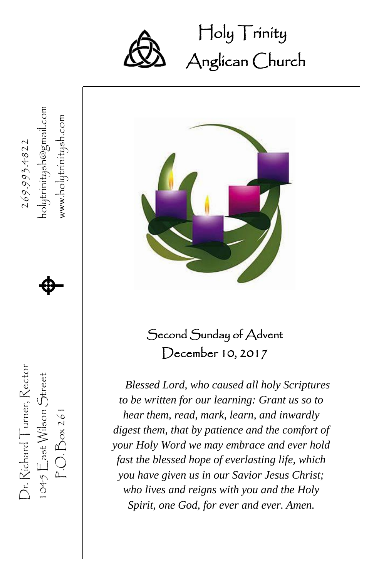

Dr. Richard Turner, Rector  $269.993.4822$ 

Dr. Richard Turner, Rector

 $1045$   $\sum$  ast Wilson Street  $P.O.Box261$ 

269.993.4822

1045  $\mathsf{E}$ ast Wilson Street  $\bigoplus$ 

P.O. Box 261 www.holytrinitysh.com  $\spadesuit$ 

www.holytrinitysh.com

Holy Trinity Ĩ Anglican Church



### Second Sunday of Advent December 10, 2017

*Blessed Lord, who caused all holy Scriptures to be written for our learning: Grant us so to hear them, read, mark, learn, and inwardly digest them, that by patience and the comfort of your Holy Word we may embrace and ever hold fast the blessed hope of everlasting life, which you have given us in our Savior Jesus Christ; who lives and reigns with you and the Holy Spirit, one God, for ever and ever. Amen.*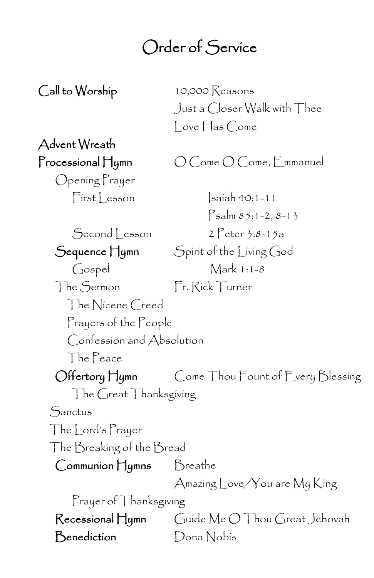### Order of Service

Call to Worship 10,000 Reasons Just a Closer Walk with Thee  $\vert$  ove  $\vert \vert$  as Come

# Advent Wreath

Processional Hymn  $O$  Come O Come, Emmanuel

Opening Prayer

 $First|$  esson  $|s$ aiah 40:1-11  $P_{\text{salm}} 85:1 - 2, 8 - 13$ Second Lesson 2 Peter 3:8-15a Sequence Hymn Spirit of the Living God Gospel Mark 1:1-8 The Sermon Fr. Rick Turner The Nicene Creed Prayers of the People Confession and Absolution The Peace Offertory Hymn Come Thou Fount of Every Blessing The Great Thanksgiving Sanctus The Lord's Prayer The Breaking of the Bread Communion Hymns Breathe Amazing Love/You are My King Prayer of Thanksgiving Recessional Hymn Guide Me O Thou Great Jehovah Benediction Dona Nobis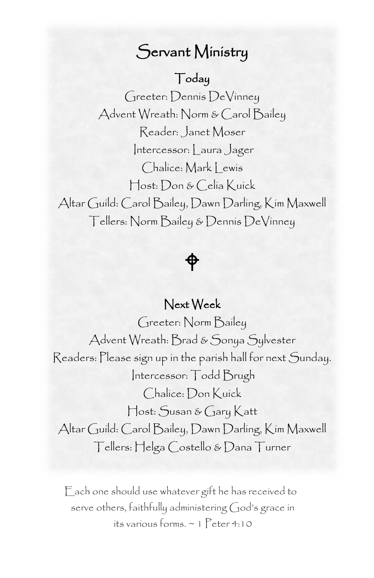### Servant Ministry

#### Today

 Advent Wreath: Norm & Carol Bailey Greeter: Dennis DeVinney Reader: Janet Moser Intercessor: | aura Jager Chalice: Mark | ewis Host: Don & Celia Kuick Altar Guild: Carol Bailey, Dawn Darling, Kim Maxwell Tellers: Norm Bailey & Dennis DeVinney

⊕

#### Next Week

Greeter: Norm Bailey Advent Wreath: Brad & Sonya Sylvester Readers: Please sign up in the parish hall for next Sunday. Intercessor: Todd Brugh Chalice: Don Kuick Host: Susan & Gary Katt Altar Guild: Carol Bailey, Dawn Darling, Kim Maxwell Tellers: Helga Costello & Dana Turner

Each one should use whatever gift he has received to serve others, faithfully administering God's grace in its various forms. ~ 1 Peter 4:10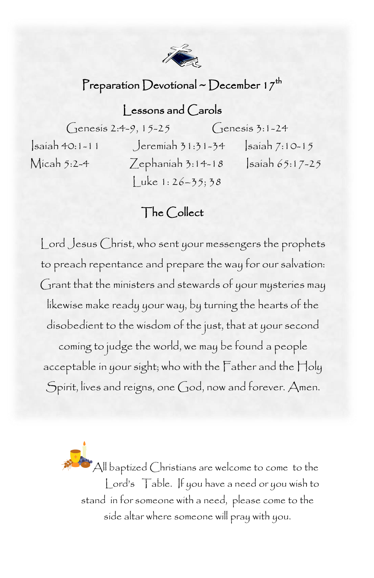

#### Preparation Devotional ~ December 17<sup>th</sup>

### Lessons and Carols

Genesis 2:4-9, 15-25 Genesis 3:1-24

Isaiah 40:1-11 Jeremiah 31:31-34 Isaiah 7:10-15 Micah 5:2-4 Zephaniah 3:14-18 Isaiah 65:17-25  $Luke 1: 26 - 35; 38$ 

#### The Collect

 Lord Jesus Christ, who sent your messengers the prophets to preach repentance and prepare the way for our salvation: likewise make ready your way, by turning the hearts of the disobedient to the wisdom of the just, that at your second acceptable in your sight; who with the Father and the Holy<br>Spirit lives and reigns, one Good, now and forever. Amen Grant that the ministers and stewards of your mysteries may coming to judge the world, we may be found a people Spirit, lives and reigns, one God, now and forever. Amen.

> All baptized Christians are welcome to come to the Lord's Table. If you have a need or you wish to stand in for someone with a need, please come to the side altar where someone will pray with you.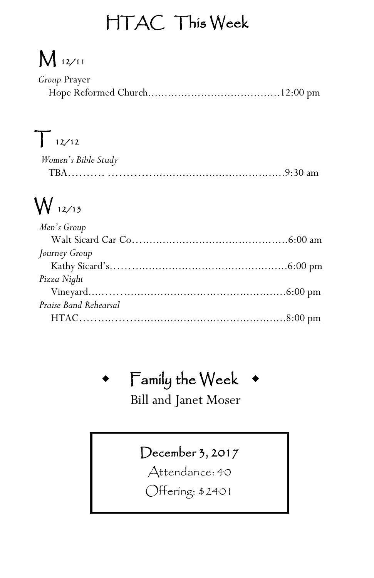## HTAC This Week

## M 12/11

| Group Prayer |  |
|--------------|--|
|              |  |

## $T_{12/12}$

| Women's Bible Study |  |
|---------------------|--|
|                     |  |

## W 12/13

| Men's Group           |  |
|-----------------------|--|
|                       |  |
| Journey Group         |  |
|                       |  |
| Pizza Night           |  |
|                       |  |
| Praise Band Rehearsal |  |
|                       |  |
|                       |  |

## Family the Week

Bill and Janet Moser

### December 3, 2017

Attendance: 40

Offering: \$2401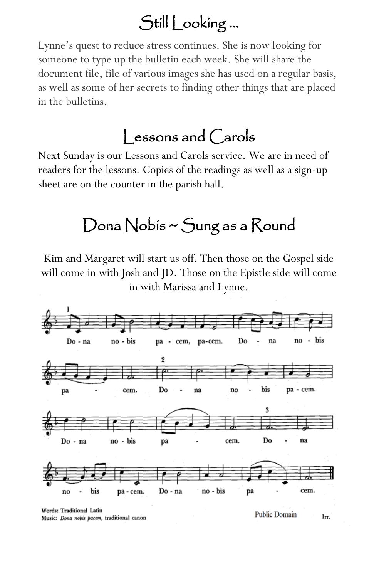### Still Looking …

Lynne's quest to reduce stress continues. She is now looking for someone to type up the bulletin each week. She will share the document file, file of various images she has used on a regular basis, as well as some of her secrets to finding other things that are placed in the bulletins.

### Lessons and Carols

Next Sunday is our Lessons and Carols service. We are in need of readers for the lessons. Copies of the readings as well as a sign-up sheet are on the counter in the parish hall.

## Dona Nobis ~ Sung as a Round

Kim and Margaret will start us off. Then those on the Gospel side will come in with Josh and JD. Those on the Epistle side will come in with Marissa and Lynne.



Words: Traditional Latin Music: Dona nobis pacem, traditional canon

**Public Domain** Irr.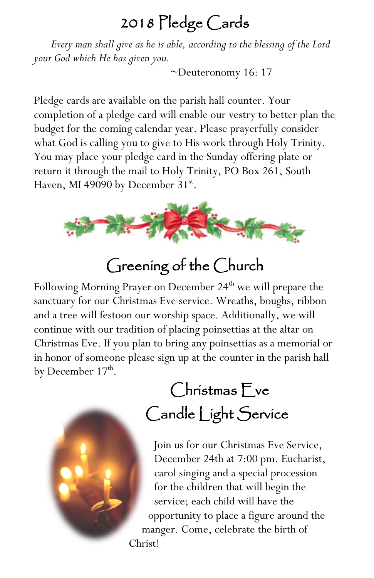### 2018 Pledge Cards

*Every man shall give as he is able, according to the blessing of the Lord your God which He has given you.*

*~*Deuteronomy 16: 17

Pledge cards are available on the parish hall counter. Your completion of a pledge card will enable our vestry to better plan the budget for the coming calendar year. Please prayerfully consider what God is calling you to give to His work through Holy Trinity. You may place your pledge card in the Sunday offering plate or return it through the mail to Holy Trinity, PO Box 261, South Haven, MI 49090 by December 31<sup>st</sup>.



## Greening of the Church

Following Morning Prayer on December 24<sup>th</sup> we will prepare the sanctuary for our Christmas Eve service. Wreaths, boughs, ribbon and a tree will festoon our worship space. Additionally, we will continue with our tradition of placing poinsettias at the altar on Christmas Eve. If you plan to bring any poinsettias as a memorial or in honor of someone please sign up at the counter in the parish hall by December  $17^{\text{th}}$ .



## Christmas Eve Candle Light Service

Join us for our Christmas Eve Service, December 24th at 7:00 pm. Eucharist, carol singing and a special procession for the children that will begin the service; each child will have the opportunity to place a figure around the manger. Come, celebrate the birth of